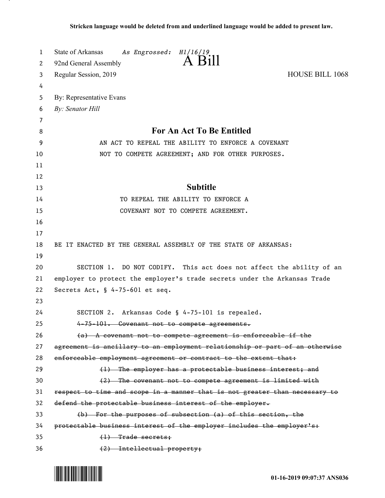| 1  | State of Arkansas<br>As Engrossed:<br>H1/16/19                               |
|----|------------------------------------------------------------------------------|
| 2  | A Bill<br>92nd General Assembly                                              |
| 3  | <b>HOUSE BILL 1068</b><br>Regular Session, 2019                              |
| 4  |                                                                              |
| 5  | By: Representative Evans                                                     |
| 6  | By: Senator Hill                                                             |
| 7  |                                                                              |
| 8  | For An Act To Be Entitled                                                    |
| 9  | AN ACT TO REPEAL THE ABILITY TO ENFORCE A COVENANT                           |
| 10 | NOT TO COMPETE AGREEMENT; AND FOR OTHER PURPOSES.                            |
| 11 |                                                                              |
| 12 |                                                                              |
| 13 | <b>Subtitle</b>                                                              |
| 14 | TO REPEAL THE ABILITY TO ENFORCE A                                           |
| 15 | COVENANT NOT TO COMPETE AGREEMENT.                                           |
| 16 |                                                                              |
| 17 |                                                                              |
| 18 | BE IT ENACTED BY THE GENERAL ASSEMBLY OF THE STATE OF ARKANSAS:              |
| 19 |                                                                              |
| 20 | SECTION 1. DO NOT CODIFY. This act does not affect the ability of an         |
| 21 | employer to protect the employer's trade secrets under the Arkansas Trade    |
| 22 | Secrets Act, $\frac{1}{2}$ 4-75-601 et seq.                                  |
| 23 |                                                                              |
| 24 | SECTION 2. Arkansas Code § 4-75-101 is repealed.                             |
| 25 | 4-75-101. Covenant not to compete agreements.                                |
| 26 | (a) A covenant not to compete agreement is enforceable if the                |
| 27 | agreement is ancillary to an employment relationship or part of an otherwise |
| 28 | enforceable employment agreement or contract to the extent that:             |
| 29 | (1) The employer has a protectable business interest; and                    |
| 30 | (2) The covenant not to compete agreement is limited with                    |
| 31 | respect to time and scope in a manner that is not greater than necessary to  |
| 32 | defend the protectable business interest of the employer.                    |
| 33 | (b) For the purposes of subsection (a) of this section, the                  |
| 34 | protectable business interest of the employer includes the employer's:       |
| 35 | $(1)$ Trade secrets;                                                         |
| 36 | (2) Intellectual property;                                                   |

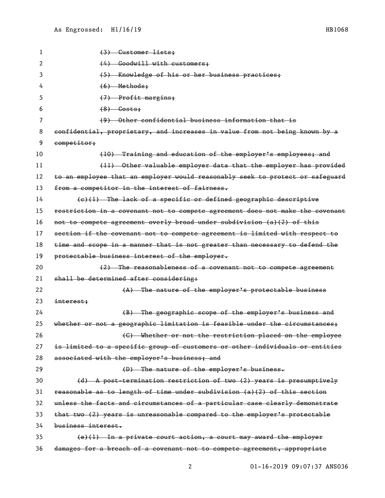| 1  | (3) Customer lists;                                                           |
|----|-------------------------------------------------------------------------------|
| 2  | (4) Goodwill with customers;                                                  |
| 3  | (5) Knowledge of his or her business practices;                               |
| 4  | $(6)$ Methods;                                                                |
| 5  | (7) Profit margins;                                                           |
| 6  | $(8)$ Costs;                                                                  |
| 7  | (9) Other confidential business information that is                           |
| 8  | confidential, proprietary, and increases in value from not being known by a   |
| 9  | competitor;                                                                   |
| 10 | (10) Training and education of the employer's employees; and                  |
| 11 | (11) Other valuable employer data that the employer has provided              |
| 12 | to an employee that an employer would reasonably seek to protect or safeguard |
| 13 | from a competitor in the interest of fairness.                                |
| 14 | $(e)(1)$ The lack of a specific or defined geographic descriptive             |
| 15 | restriction in a covenant not to compete agreement does not make the covenant |
| 16 | not to compete agreement overly broad under subdivision (a)(2) of this        |
| 17 | section if the covenant not to compete agreement is limited with respect to   |
| 18 | time and scope in a manner that is not greater than necessary to defend the   |
| 19 | protectable business interest of the employer.                                |
| 20 | (2) The reasonableness of a covenant not to compete agreement                 |
| 21 | shall be determined after considering:                                        |
| 22 | (A) The nature of the employer's protectable business                         |
| 23 | interest:                                                                     |
| 24 | (B) The geographic scope of the employer's business and                       |
| 25 | whether or not a geographic limitation is feasible under the circumstances:   |
| 26 | (C) Whether or not the restriction placed on the employee                     |
| 27 | is limited to a specific group of customers or other individuals or entities  |
| 28 | associated with the employer's business; and                                  |
| 29 | (D) The nature of the employer's business.                                    |
| 30 | (d) A post-termination restriction of two (2) years is presumptively          |
| 31 | reasonable as to length of time under subdivision (a)(2) of this section      |
| 32 | unless the facts and circumstances of a particular case clearly demonstrate   |
| 33 | that two (2) years is unreasonable compared to the employer's protectable     |
| 34 | business interest.                                                            |
|    |                                                                               |
| 35 | $(e)$ (1) In a private court action, a court may award the employer           |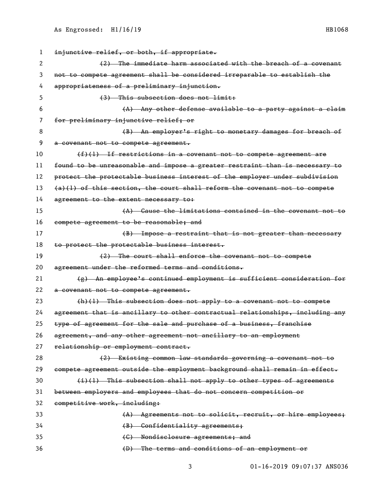| 1  | injunctive relief, or both, if appropriate.                                   |
|----|-------------------------------------------------------------------------------|
| 2  | (2) The immediate harm associated with the breach of a covenant               |
| 3  | not to compete agreement shall be considered irreparable to establish the     |
| 4  | appropriateness of a preliminary injunction.                                  |
| 5  | (3) This subsection does not limit:                                           |
| 6  | (A) Any other defense available to a party against a claim                    |
| 7  | for preliminary injunctive relief; or                                         |
| 8  | (B) An employer's right to monetary damages for breach of                     |
| 9  | a covenant not to compete agreement.                                          |
| 10 | $(f)(1)$ If restrictions in a covenant not to compete agreement are           |
| 11 | found to be unreasonable and impose a greater restraint than is necessary to  |
| 12 | protect the protectable business interest of the employer under subdivision   |
| 13 | $(a)(1)$ of this section, the court shall reform the covenant not to compete  |
| 14 | agreement to the extent necessary to:                                         |
| 15 | (A) Cause the limitations contained in the covenant not to                    |
| 16 | compete agreement to be reasonable; and                                       |
| 17 | (B) Impose a restraint that is not greater than necessary                     |
| 18 | to protect the protectable business interest.                                 |
| 19 | (2) The court shall enforce the covenant not to compete                       |
| 20 | agreement under the reformed terms and conditions.                            |
| 21 | (g) An employee's continued employment is sufficient consideration for        |
| 22 | a covenant not to compete agreement.                                          |
| 23 | $(h)(1)$ This subsection does not apply to a covenant not to compete          |
| 24 | agreement that is ancillary to other contractual relationships, including any |
| 25 | type of agreement for the sale and purchase of a business, franchise          |
| 26 | agreement, and any other agreement not ancillary to an employment             |
| 27 | relationship or employment contract.                                          |
| 28 | (2) Existing common law standards governing a covenant not to                 |
| 29 | compete agreement outside the employment background shall remain in effect.   |
| 30 | (i)(l) This subsection shall not apply to other types of agreements           |
| 31 | between employers and employees that do not concern competition or            |
| 32 | competitive work, including:                                                  |
| 33 | (A) Agreements not to solicit, recruit, or hire employees;                    |
| 34 |                                                                               |
|    | (B) Confidentiality agreements;                                               |
| 35 | (C) Nondisclosure agreements; and                                             |